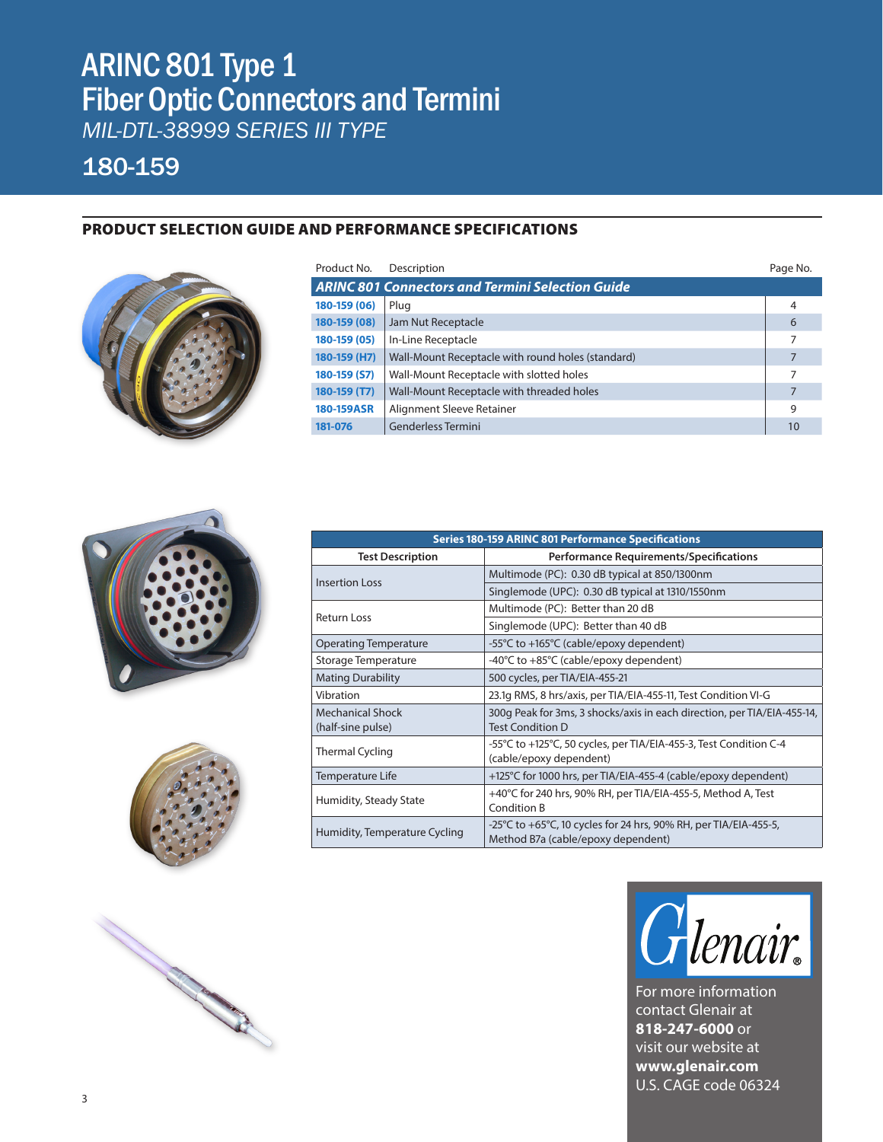# ARINC 801 Type 1 Fiber Optic Connectors and Termini

*MIL-DTL-38999 SERIES III TYPE*

## 180-159

### PRODUCT SELECTION GUIDE AND PERFORMANCE SPECIFICATIONS



| Product No.                                             | Description                                            |    |  |  |  |
|---------------------------------------------------------|--------------------------------------------------------|----|--|--|--|
| <b>ARINC 801 Connectors and Termini Selection Guide</b> |                                                        |    |  |  |  |
| 180-159 (06)                                            | Plug                                                   | 4  |  |  |  |
| 180-159 (08)                                            | Jam Nut Receptacle                                     | 6  |  |  |  |
| 180-159 (05)                                            | In-Line Receptacle                                     | 7  |  |  |  |
| 180-159 (H7)                                            | Wall-Mount Receptacle with round holes (standard)<br>7 |    |  |  |  |
| 180-159 (S7)                                            | Wall-Mount Receptacle with slotted holes<br>7          |    |  |  |  |
| 180-159 (T7)                                            | Wall-Mount Receptacle with threaded holes<br>7         |    |  |  |  |
| 180-159ASR                                              | Alignment Sleeve Retainer<br>9                         |    |  |  |  |
| 181-076                                                 | Genderless Termini                                     | 10 |  |  |  |







| <b>Series 180-159 ARINC 801 Performance Specifications</b> |                                                                                                        |  |  |  |
|------------------------------------------------------------|--------------------------------------------------------------------------------------------------------|--|--|--|
| <b>Test Description</b>                                    | Performance Requirements/Specifications                                                                |  |  |  |
|                                                            | Multimode (PC): 0.30 dB typical at 850/1300nm                                                          |  |  |  |
| <b>Insertion Loss</b>                                      | Singlemode (UPC): 0.30 dB typical at 1310/1550nm                                                       |  |  |  |
| Return Loss                                                | Multimode (PC): Better than 20 dB                                                                      |  |  |  |
|                                                            | Singlemode (UPC): Better than 40 dB                                                                    |  |  |  |
| <b>Operating Temperature</b>                               | -55°C to +165°C (cable/epoxy dependent)                                                                |  |  |  |
| Storage Temperature                                        | -40°C to +85°C (cable/epoxy dependent)                                                                 |  |  |  |
| <b>Mating Durability</b>                                   | 500 cycles, per TIA/EIA-455-21                                                                         |  |  |  |
| Vibration                                                  | 23.1q RMS, 8 hrs/axis, per TIA/EIA-455-11, Test Condition VI-G                                         |  |  |  |
| <b>Mechanical Shock</b><br>(half-sine pulse)               | 300g Peak for 3ms, 3 shocks/axis in each direction, per TIA/EIA-455-14,<br><b>Test Condition D</b>     |  |  |  |
| <b>Thermal Cycling</b>                                     | -55°C to +125°C, 50 cycles, per TIA/EIA-455-3, Test Condition C-4<br>(cable/epoxy dependent)           |  |  |  |
| Temperature Life                                           | +125°C for 1000 hrs, per TIA/EIA-455-4 (cable/epoxy dependent)                                         |  |  |  |
| Humidity, Steady State                                     | +40°C for 240 hrs, 90% RH, per TIA/EIA-455-5, Method A, Test<br><b>Condition B</b>                     |  |  |  |
| Humidity, Temperature Cycling                              | -25°C to +65°C, 10 cycles for 24 hrs, 90% RH, per TIA/EIA-455-5,<br>Method B7a (cable/epoxy dependent) |  |  |  |



For more information contact Glenair at **818-247-6000** or visit our website at **www.glenair.com** U.S. CAGE code 06324